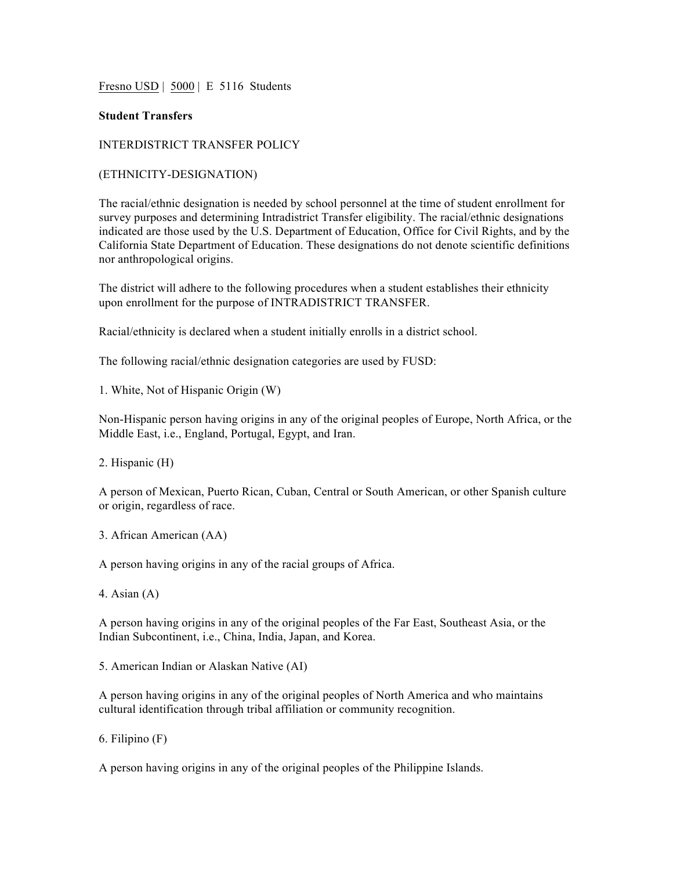Fresno USD | 5000 | E 5116 Students

## **Student Transfers**

## INTERDISTRICT TRANSFER POLICY

## (ETHNICITY-DESIGNATION)

The racial/ethnic designation is needed by school personnel at the time of student enrollment for survey purposes and determining Intradistrict Transfer eligibility. The racial/ethnic designations indicated are those used by the U.S. Department of Education, Office for Civil Rights, and by the California State Department of Education. These designations do not denote scientific definitions nor anthropological origins.

The district will adhere to the following procedures when a student establishes their ethnicity upon enrollment for the purpose of INTRADISTRICT TRANSFER.

Racial/ethnicity is declared when a student initially enrolls in a district school.

The following racial/ethnic designation categories are used by FUSD:

1. White, Not of Hispanic Origin (W)

Non-Hispanic person having origins in any of the original peoples of Europe, North Africa, or the Middle East, i.e., England, Portugal, Egypt, and Iran.

2. Hispanic (H)

A person of Mexican, Puerto Rican, Cuban, Central or South American, or other Spanish culture or origin, regardless of race.

3. African American (AA)

A person having origins in any of the racial groups of Africa.

4. Asian (A)

A person having origins in any of the original peoples of the Far East, Southeast Asia, or the Indian Subcontinent, i.e., China, India, Japan, and Korea.

5. American Indian or Alaskan Native (AI)

A person having origins in any of the original peoples of North America and who maintains cultural identification through tribal affiliation or community recognition.

6. Filipino (F)

A person having origins in any of the original peoples of the Philippine Islands.